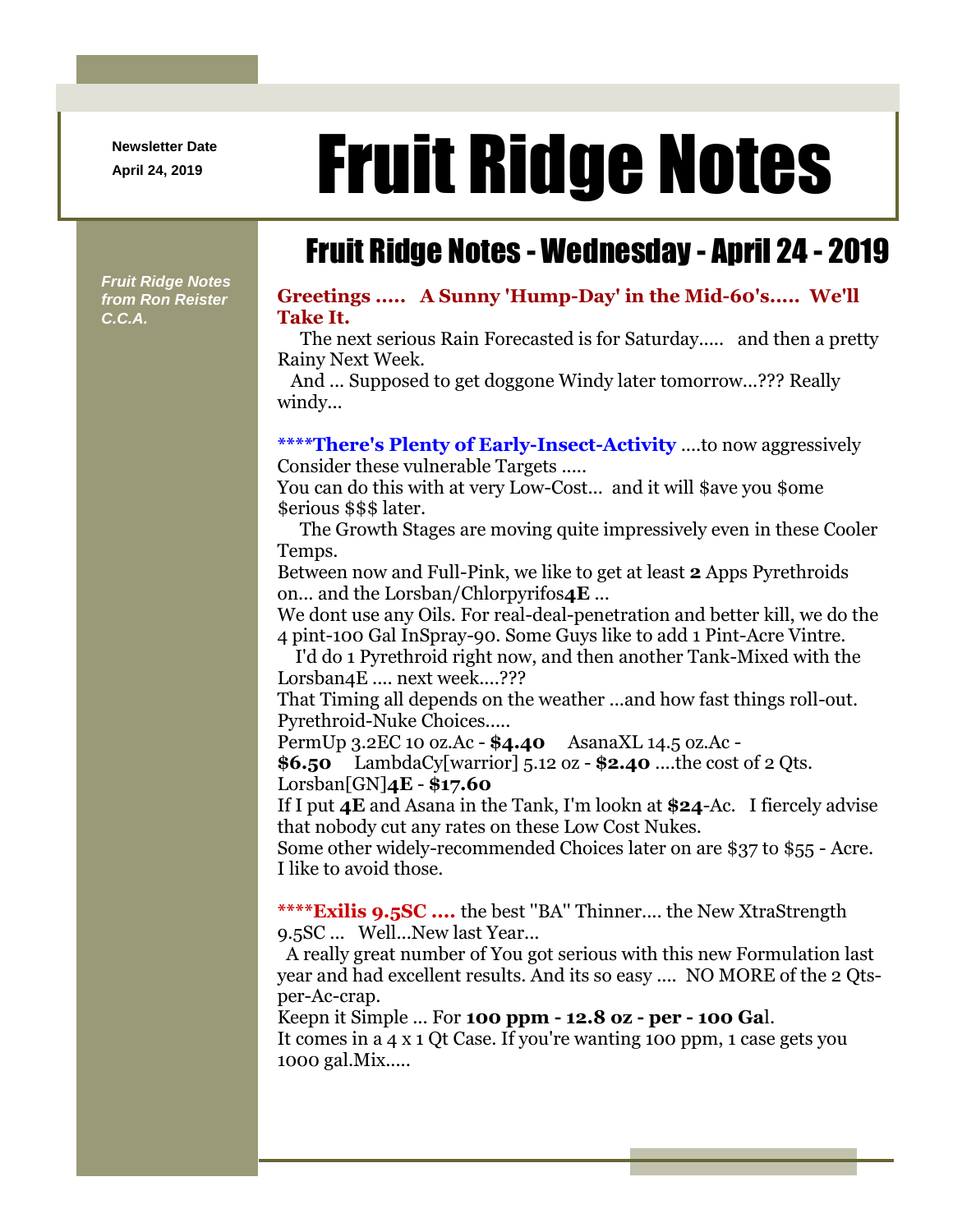**Newsletter Date**

## April 24, 2019 **Fruit Ridge Notes**

## Fruit Ridge Notes - Wednesday - April 24 - 2019

*Fruit Ridge Notes from Ron Reister C.C.A.*

## **Greetings ..... A Sunny 'Hump-Day' in the Mid-60's..... We'll Take It.**

The next serious Rain Forecasted is for Saturday..... and then a pretty Rainy Next Week.

And ... Supposed to get doggone Windy later tomorrow...??? Really windy...

## **\*\*\*\*There's Plenty of Early-Insect-Activity** ....to now aggressively Consider these vulnerable Targets .....

You can do this with at very Low-Cost... and it will \$ave you \$ome

\$erious \$\$\$ later.

The Growth Stages are moving quite impressively even in these Cooler Temps.

Between now and Full-Pink, we like to get at least **2** Apps Pyrethroids on... and the Lorsban/Chlorpyrifos**4E** ...

We dont use any Oils. For real-deal-penetration and better kill, we do the 4 pint-100 Gal InSpray-90. Some Guys like to add 1 Pint-Acre Vintre.

I'd do 1 Pyrethroid right now, and then another Tank-Mixed with the Lorsban<sub>4</sub>E .... next week....???

That Timing all depends on the weather ...and how fast things roll-out. Pyrethroid-Nuke Choices.....

PermUp 3.2EC 10 oz.Ac - **\$4.40** AsanaXL 14.5 oz.Ac -

**\$6.50** LambdaCy[warrior] 5.12 oz - **\$2.40** ....the cost of 2 Qts. Lorsban[GN]**4E** - **\$17.60**

If I put **4E** and Asana in the Tank, I'm lookn at **\$24**-Ac. I fiercely advise that nobody cut any rates on these Low Cost Nukes.

Some other widely-recommended Choices later on are \$37 to \$55 - Acre. I like to avoid those.

**\*\*\*\*Exilis 9.5SC ....** the best ''BA'' Thinner.... the New XtraStrength 9.5SC ... Well...New last Year...

A really great number of You got serious with this new Formulation last year and had excellent results. And its so easy .... NO MORE of the 2 Qtsper-Ac-crap.

Keepn it Simple ... For **100 ppm - 12.8 oz - per - 100 Ga**l.

It comes in a 4 x 1 Qt Case. If you're wanting 100 ppm, 1 case gets you 1000 gal.Mix.....